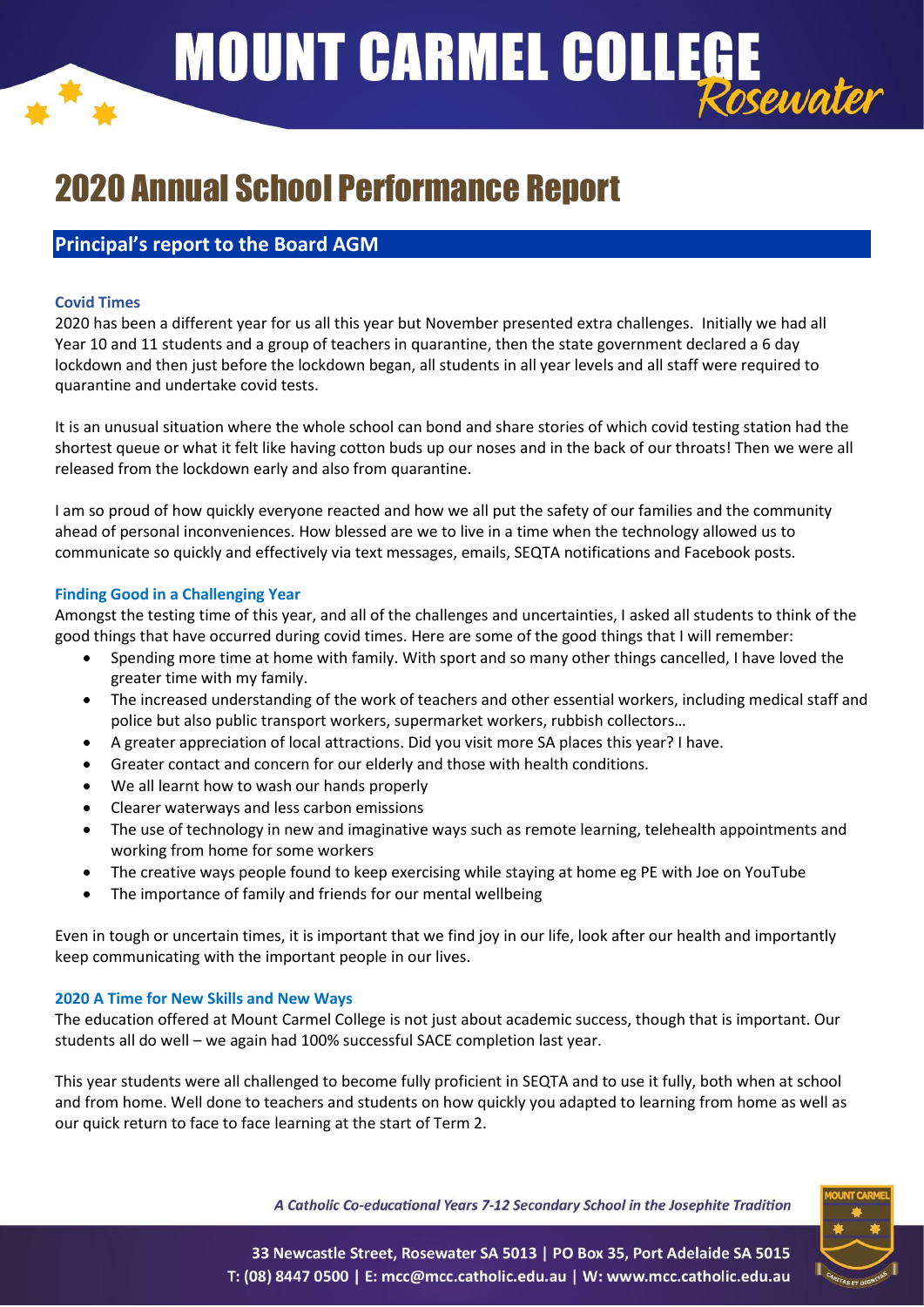# **MOUNT CARMEL COLLEGE** Rosewater

## 2020 Annual School Performance Report

## **Principal's report to the Board AGM**

#### **Covid Times**

2020 has been a different year for us all this year but November presented extra challenges. Initially we had all Year 10 and 11 students and a group of teachers in quarantine, then the state government declared a 6 day lockdown and then just before the lockdown began, all students in all year levels and all staff were required to quarantine and undertake covid tests.

It is an unusual situation where the whole school can bond and share stories of which covid testing station had the shortest queue or what it felt like having cotton buds up our noses and in the back of our throats! Then we were all released from the lockdown early and also from quarantine.

I am so proud of how quickly everyone reacted and how we all put the safety of our families and the community ahead of personal inconveniences. How blessed are we to live in a time when the technology allowed us to communicate so quickly and effectively via text messages, emails, SEQTA notifications and Facebook posts.

#### **Finding Good in a Challenging Year**

Amongst the testing time of this year, and all of the challenges and uncertainties, I asked all students to think of the good things that have occurred during covid times. Here are some of the good things that I will remember:

- Spending more time at home with family. With sport and so many other things cancelled, I have loved the greater time with my family.
- The increased understanding of the work of teachers and other essential workers, including medical staff and police but also public transport workers, supermarket workers, rubbish collectors…
- A greater appreciation of local attractions. Did you visit more SA places this year? I have.
- Greater contact and concern for our elderly and those with health conditions.
- We all learnt how to wash our hands properly
- Clearer waterways and less carbon emissions
- The use of technology in new and imaginative ways such as remote learning, telehealth appointments and working from home for some workers
- The creative ways people found to keep exercising while staying at home eg PE with Joe on YouTube
- The importance of family and friends for our mental wellbeing

Even in tough or uncertain times, it is important that we find joy in our life, look after our health and importantly keep communicating with the important people in our lives.

#### **2020 A Time for New Skills and New Ways**

The education offered at Mount Carmel College is not just about academic success, though that is important. Our students all do well – we again had 100% successful SACE completion last year.

This year students were all challenged to become fully proficient in SEQTA and to use it fully, both when at school and from home. Well done to teachers and students on how quickly you adapted to learning from home as well as our quick return to face to face learning at the start of Term 2.

A Catholic Co-educational Years 7-12 Secondary School in the Josephite Tradition



33 Newcastle Street, Rosewater SA 5013 | PO Box 35, Port Adelaide SA 5015 T: (08) 8447 0500 | E: mcc@mcc.catholic.edu.au | W: www.mcc.catholic.edu.au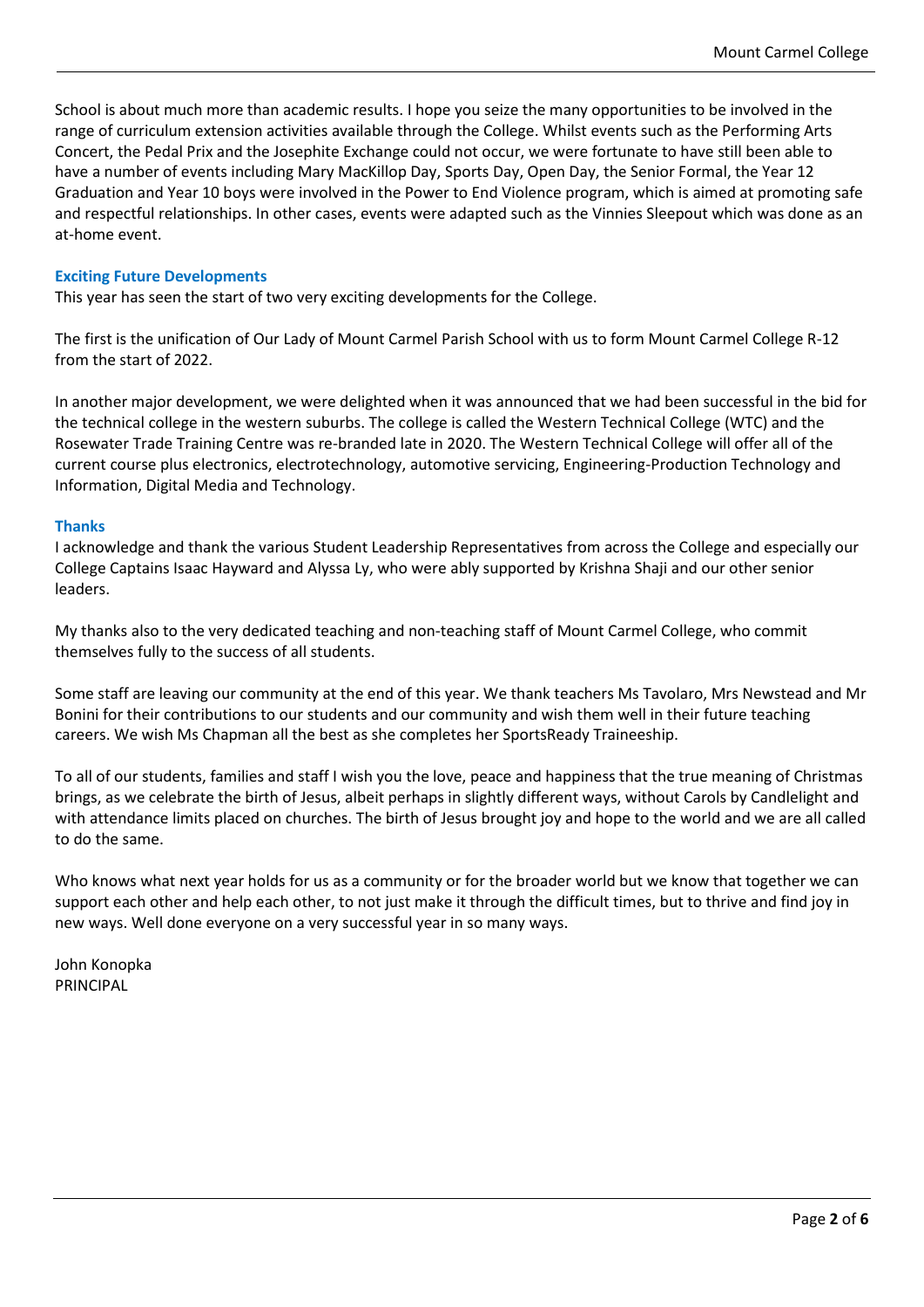School is about much more than academic results. I hope you seize the many opportunities to be involved in the range of curriculum extension activities available through the College. Whilst events such as the Performing Arts Concert, the Pedal Prix and the Josephite Exchange could not occur, we were fortunate to have still been able to have a number of events including Mary MacKillop Day, Sports Day, Open Day, the Senior Formal, the Year 12 Graduation and Year 10 boys were involved in the Power to End Violence program, which is aimed at promoting safe and respectful relationships. In other cases, events were adapted such as the Vinnies Sleepout which was done as an at-home event.

#### **Exciting Future Developments**

This year has seen the start of two very exciting developments for the College.

The first is the unification of Our Lady of Mount Carmel Parish School with us to form Mount Carmel College R-12 from the start of 2022.

In another major development, we were delighted when it was announced that we had been successful in the bid for the technical college in the western suburbs. The college is called the Western Technical College (WTC) and the Rosewater Trade Training Centre was re-branded late in 2020. The Western Technical College will offer all of the current course plus electronics, electrotechnology, automotive servicing, Engineering-Production Technology and Information, Digital Media and Technology.

#### **Thanks**

I acknowledge and thank the various Student Leadership Representatives from across the College and especially our College Captains Isaac Hayward and Alyssa Ly, who were ably supported by Krishna Shaji and our other senior leaders.

My thanks also to the very dedicated teaching and non-teaching staff of Mount Carmel College, who commit themselves fully to the success of all students.

Some staff are leaving our community at the end of this year. We thank teachers Ms Tavolaro, Mrs Newstead and Mr Bonini for their contributions to our students and our community and wish them well in their future teaching careers. We wish Ms Chapman all the best as she completes her SportsReady Traineeship.

To all of our students, families and staff I wish you the love, peace and happiness that the true meaning of Christmas brings, as we celebrate the birth of Jesus, albeit perhaps in slightly different ways, without Carols by Candlelight and with attendance limits placed on churches. The birth of Jesus brought joy and hope to the world and we are all called to do the same.

Who knows what next year holds for us as a community or for the broader world but we know that together we can support each other and help each other, to not just make it through the difficult times, but to thrive and find joy in new ways. Well done everyone on a very successful year in so many ways.

John Konopka PRINCIPAL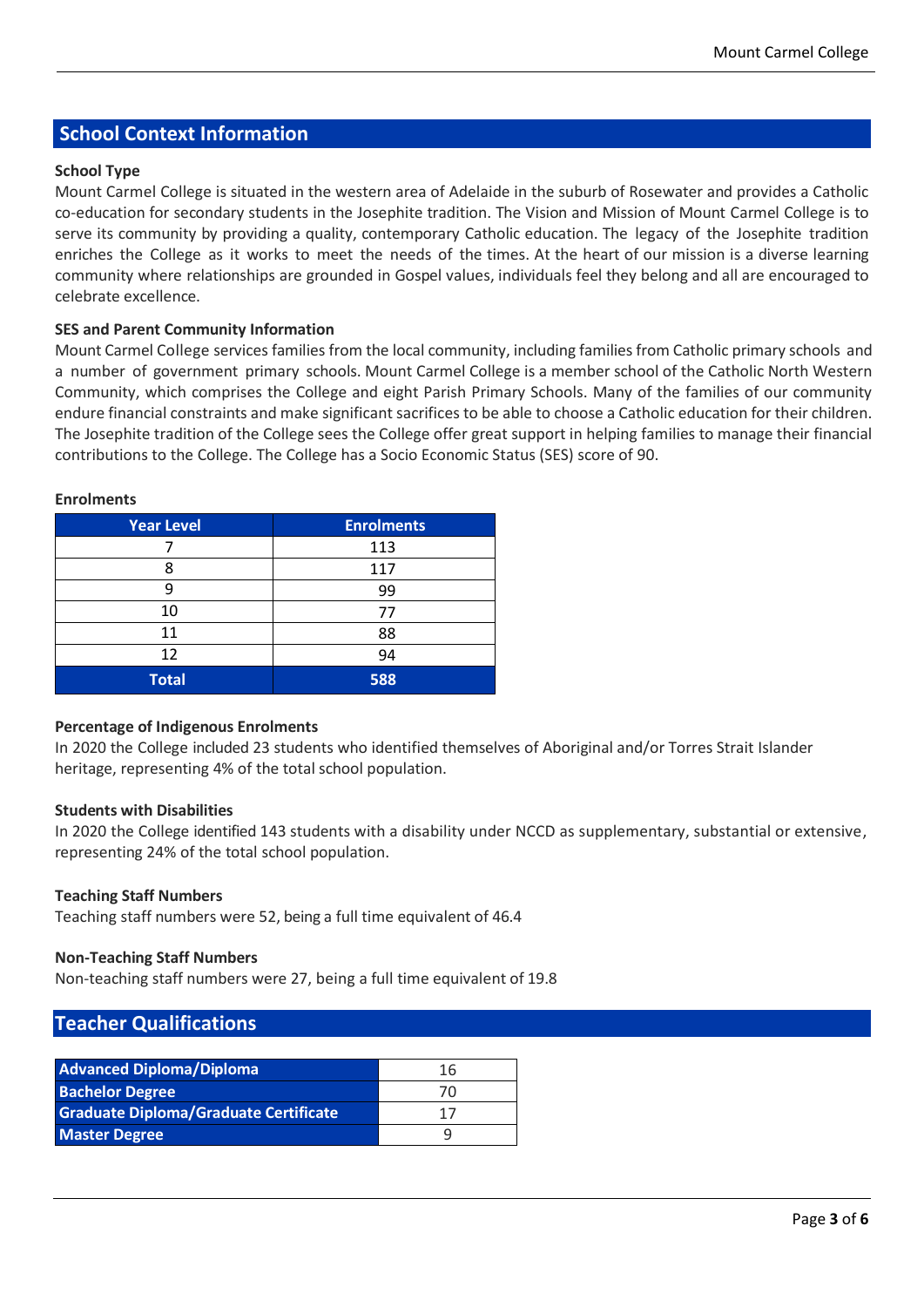## **School Context Information**

#### **School Type**

Mount Carmel College is situated in the western area of Adelaide in the suburb of Rosewater and provides a Catholic co-education for secondary students in the Josephite tradition. The Vision and Mission of Mount Carmel College is to serve its community by providing a quality, contemporary Catholic education. The legacy of the Josephite tradition enriches the College as it works to meet the needs of the times. At the heart of our mission is a diverse learning community where relationships are grounded in Gospel values, individuals feel they belong and all are encouraged to celebrate excellence.

#### **SES and Parent Community Information**

Mount Carmel College services families from the local community, including families from Catholic primary schools and a number of government primary schools. Mount Carmel College is a member school of the Catholic North Western Community, which comprises the College and eight Parish Primary Schools. Many of the families of our community endure financial constraints and make significant sacrifices to be able to choose a Catholic education for their children. The Josephite tradition of the College sees the College offer great support in helping families to manage their financial contributions to the College. The College has a Socio Economic Status (SES) score of 90.

| <b>Year Level</b> | <b>Enrolments</b> |
|-------------------|-------------------|
|                   | 113               |
| Я                 | 117               |
|                   | 99                |
| 10                | 77                |
| 11                | 88                |
| 12                | 94                |
| <b>Total</b>      | 588               |

#### **Enrolments**

#### **Percentage of Indigenous Enrolments**

In 2020 the College included 23 students who identified themselves of Aboriginal and/or Torres Strait Islander heritage, representing 4% of the total school population.

#### **Students with Disabilities**

In 2020 the College identified 143 students with a disability under NCCD as supplementary, substantial or extensive, representing 24% of the total school population.

#### **Teaching Staff Numbers**

Teaching staff numbers were 52, being a full time equivalent of 46.4

#### **Non-Teaching Staff Numbers**

Non-teaching staff numbers were 27, being a full time equivalent of 19.8

### **Teacher Qualifications**

| <b>Advanced Diploma/Diploma</b>              | 16 |
|----------------------------------------------|----|
| <b>Bachelor Degree</b>                       | 70 |
| <b>Graduate Diploma/Graduate Certificate</b> | 11 |
| <b>Master Degree</b>                         |    |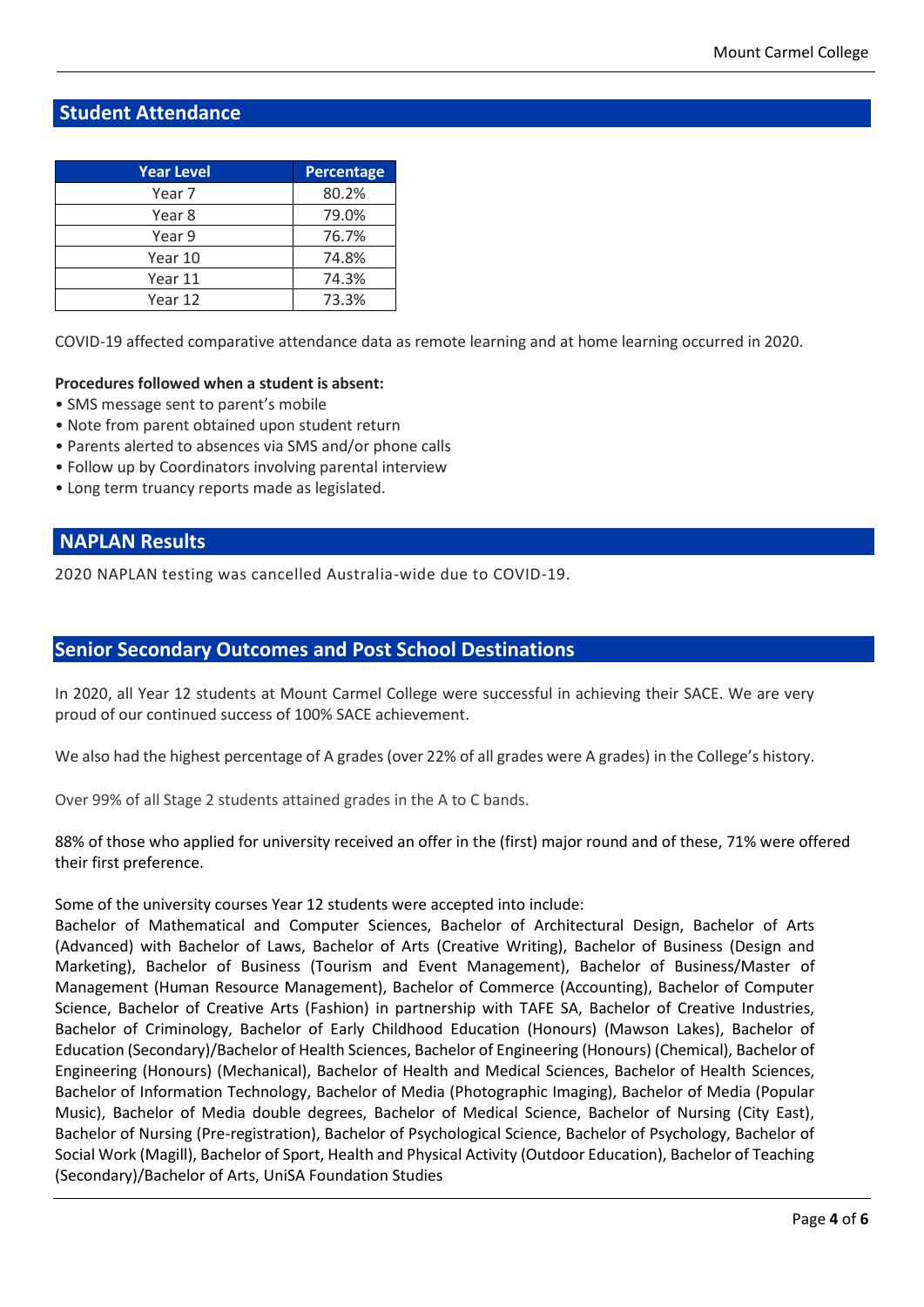## **Student Attendance**

| <b>Year Level</b> | <b>Percentage</b> |
|-------------------|-------------------|
| Year 7            | 80.2%             |
| Year 8            | 79.0%             |
| Year 9            | 76.7%             |
| Year 10           | 74.8%             |
| Year 11           | 74.3%             |
| Year 12           | 73.3%             |

COVID-19 affected comparative attendance data as remote learning and at home learning occurred in 2020.

#### **Procedures followed when a student is absent:**

- SMS message sent to parent's mobile
- Note from parent obtained upon student return
- Parents alerted to absences via SMS and/or phone calls
- Follow up by Coordinators involving parental interview
- Long term truancy reports made as legislated.

#### **NAPLAN Results**

2020 NAPLAN testing was cancelled Australia-wide due to COVID-19.

#### **Senior Secondary Outcomes and Post School Destinations**

In 2020, all Year 12 students at Mount Carmel College were successful in achieving their SACE. We are very proud of our continued success of 100% SACE achievement.

We also had the highest percentage of A grades (over 22% of all grades were A grades) in the College's history.

Over 99% of all Stage 2 students attained grades in the A to C bands.

88% of those who applied for university received an offer in the (first) major round and of these, 71% were offered their first preference.

Some of the university courses Year 12 students were accepted into include:

Bachelor of Mathematical and Computer Sciences, Bachelor of Architectural Design, Bachelor of Arts (Advanced) with Bachelor of Laws, Bachelor of Arts (Creative Writing), Bachelor of Business (Design and Marketing), Bachelor of Business (Tourism and Event Management), Bachelor of Business/Master of Management (Human Resource Management), Bachelor of Commerce (Accounting), Bachelor of Computer Science, Bachelor of Creative Arts (Fashion) in partnership with TAFE SA, Bachelor of Creative Industries, Bachelor of Criminology, Bachelor of Early Childhood Education (Honours) (Mawson Lakes), Bachelor of Education (Secondary)/Bachelor of Health Sciences, Bachelor of Engineering (Honours) (Chemical), Bachelor of Engineering (Honours) (Mechanical), Bachelor of Health and Medical Sciences, Bachelor of Health Sciences, Bachelor of Information Technology, Bachelor of Media (Photographic Imaging), Bachelor of Media (Popular Music), Bachelor of Media double degrees, Bachelor of Medical Science, Bachelor of Nursing (City East), Bachelor of Nursing (Pre-registration), Bachelor of Psychological Science, Bachelor of Psychology, Bachelor of Social Work (Magill), Bachelor of Sport, Health and Physical Activity (Outdoor Education), Bachelor of Teaching (Secondary)/Bachelor of Arts, UniSA Foundation Studies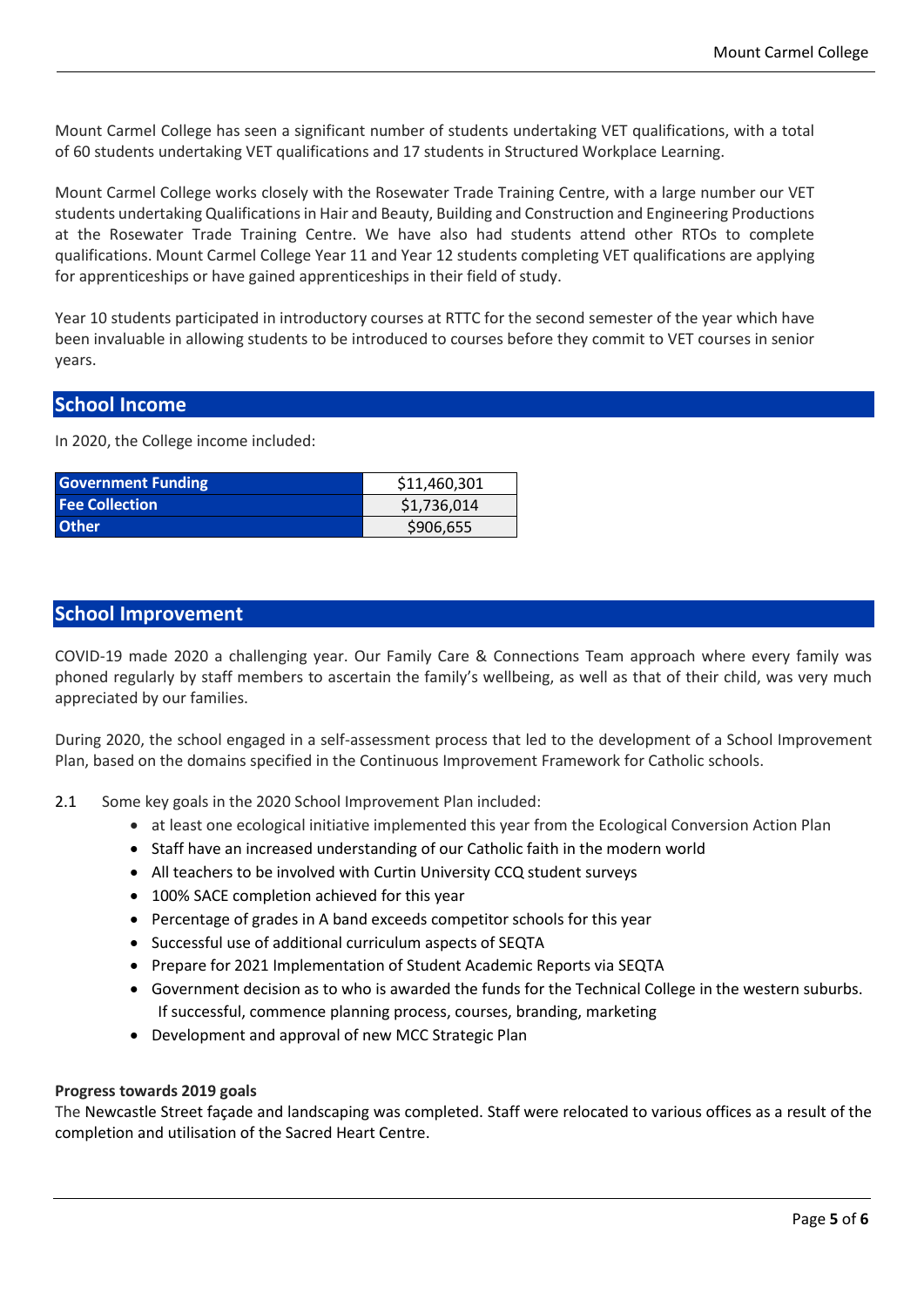Mount Carmel College has seen a significant number of students undertaking VET qualifications, with a total of 60 students undertaking VET qualifications and 17 students in Structured Workplace Learning.

Mount Carmel College works closely with the Rosewater Trade Training Centre, with a large number our VET students undertaking Qualifications in Hair and Beauty, Building and Construction and Engineering Productions at the Rosewater Trade Training Centre. We have also had students attend other RTOs to complete qualifications. Mount Carmel College Year 11 and Year 12 students completing VET qualifications are applying for apprenticeships or have gained apprenticeships in their field of study.

Year 10 students participated in introductory courses at RTTC for the second semester of the year which have been invaluable in allowing students to be introduced to courses before they commit to VET courses in senior years.

#### **School Income**

In 2020, the College income included:

| <b>Government Funding</b> | \$11,460,301 |
|---------------------------|--------------|
| <b>Fee Collection</b>     | \$1,736,014  |
| <b>Other</b>              | \$906,655    |

#### **School Improvement**

COVID-19 made 2020 a challenging year. Our Family Care & Connections Team approach where every family was phoned regularly by staff members to ascertain the family's wellbeing, as well as that of their child, was very much appreciated by our families.

During 2020, the school engaged in a self-assessment process that led to the development of a School Improvement Plan, based on the domains specified in the Continuous Improvement Framework for Catholic schools.

- 2.1 Some key goals in the 2020 School Improvement Plan included:
	- at least one ecological initiative implemented this year from the Ecological Conversion Action Plan
	- Staff have an increased understanding of our Catholic faith in the modern world
	- All teachers to be involved with Curtin University CCQ student surveys
	- 100% SACE completion achieved for this year
	- Percentage of grades in A band exceeds competitor schools for this year
	- Successful use of additional curriculum aspects of SEQTA
	- Prepare for 2021 Implementation of Student Academic Reports via SEQTA
	- Government decision as to who is awarded the funds for the Technical College in the western suburbs. If successful, commence planning process, courses, branding, marketing
	- Development and approval of new MCC Strategic Plan

#### **Progress towards 2019 goals**

The Newcastle Street façade and landscaping was completed. Staff were relocated to various offices as a result of the completion and utilisation of the Sacred Heart Centre.